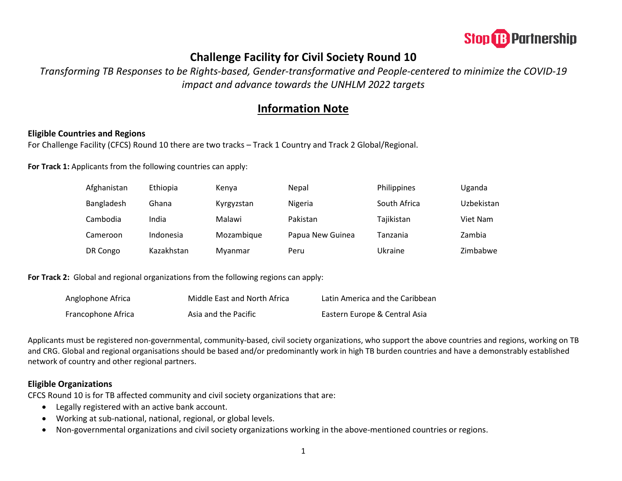

# **Challenge Facility for Civil Society Round 10**

*Transforming TB Responses to be Rights-based, Gender-transformative and People-centered to minimize the COVID-19 impact and advance towards the UNHLM 2022 targets*

## **Information Note**

## **Eligible Countries and Regions**

For Challenge Facility (CFCS) Round 10 there are two tracks – Track 1 Country and Track 2 Global/Regional.

**For Track 1:** Applicants from the following countries can apply:

| Afghanistan | Ethiopia   | Kenya      | Nepal            | Philippines  | Uganda     |
|-------------|------------|------------|------------------|--------------|------------|
| Bangladesh  | Ghana      | Kyrgyzstan | Nigeria          | South Africa | Uzbekistan |
| Cambodia    | India      | Malawi     | Pakistan         | Tajikistan   | Viet Nam   |
| Cameroon    | Indonesia  | Mozambique | Papua New Guinea | Tanzania     | Zambia     |
| DR Congo    | Kazakhstan | Myanmar    | Peru             | Ukraine      | Zimbabwe   |

**For Track 2:** Global and regional organizations from the following regions can apply:

| Anglophone Africa  | Middle East and North Africa | Latin America and the Caribbean |
|--------------------|------------------------------|---------------------------------|
| Francophone Africa | Asia and the Pacific         | Eastern Europe & Central Asia   |

Applicants must be registered non-governmental, community-based, civil society organizations, who support the above countries and regions, working on TB and CRG. Global and regional organisations should be based and/or predominantly work in high TB burden countries and have a demonstrably established network of country and other regional partners.

#### **Eligible Organizations**

CFCS Round 10 is for TB affected community and civil society organizations that are:

- Legally registered with an active bank account.
- Working at sub-national, national, regional, or global levels.
- Non-governmental organizations and civil society organizations working in the above-mentioned countries or regions.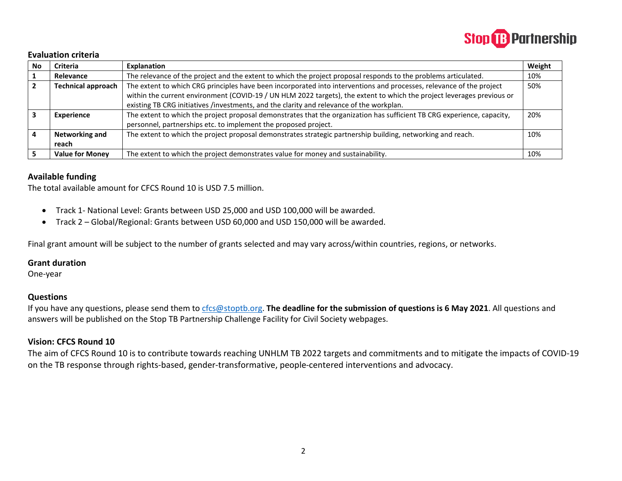

#### **Evaluation criteria**

| No | <b>Criteria</b>           | Explanation                                                                                                                 | Weight |
|----|---------------------------|-----------------------------------------------------------------------------------------------------------------------------|--------|
|    | Relevance                 | The relevance of the project and the extent to which the project proposal responds to the problems articulated.             | 10%    |
|    | <b>Technical approach</b> | The extent to which CRG principles have been incorporated into interventions and processes, relevance of the project<br>50% |        |
|    |                           | within the current environment (COVID-19 / UN HLM 2022 targets), the extent to which the project leverages previous or      |        |
|    |                           | existing TB CRG initiatives /investments, and the clarity and relevance of the workplan.                                    |        |
|    | <b>Experience</b>         | The extent to which the project proposal demonstrates that the organization has sufficient TB CRG experience, capacity,     | 20%    |
|    |                           | personnel, partnerships etc. to implement the proposed project.                                                             |        |
|    | Networking and            | The extent to which the project proposal demonstrates strategic partnership building, networking and reach.                 | 10%    |
|    | reach                     |                                                                                                                             |        |
|    | <b>Value for Money</b>    | The extent to which the project demonstrates value for money and sustainability.                                            | 10%    |

#### **Available funding**

The total available amount for CFCS Round 10 is USD 7.5 million.

- Track 1- National Level: Grants between USD 25,000 and USD 100,000 will be awarded.
- Track 2 Global/Regional: Grants between USD 60,000 and USD 150,000 will be awarded.

Final grant amount will be subject to the number of grants selected and may vary across/within countries, regions, or networks.

## **Grant duration**

One-year

#### **Questions**

If you have any questions, please send them to [cfcs@stoptb.org.](mailto:cfcs@stoptb.org) **The deadline for the submission of questions is 6 May 2021**. All questions and answers will be published on the Stop TB Partnership Challenge Facility for Civil Society webpages.

## **Vision: CFCS Round 10**

The aim of CFCS Round 10 is to contribute towards reaching UNHLM TB 2022 targets and commitments and to mitigate the impacts of COVID-19 on the TB response through rights-based, gender-transformative, people-centered interventions and advocacy.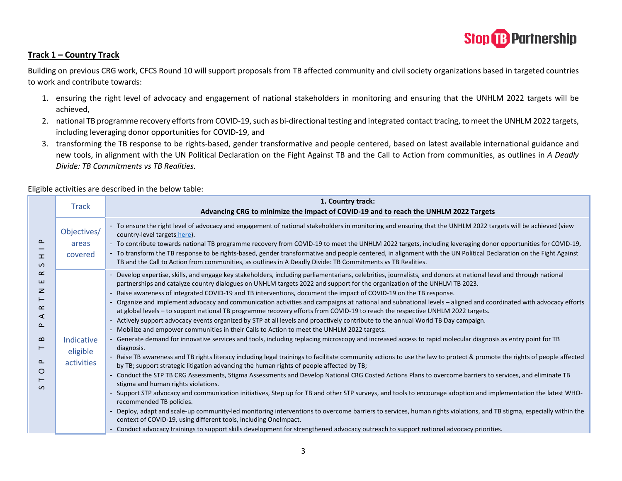

## **Track 1 – Country Track**

Building on previous CRG work, CFCS Round 10 will support proposals from TB affected community and civil society organizations based in targeted countries to work and contribute towards:

- 1. ensuring the right level of advocacy and engagement of national stakeholders in monitoring and ensuring that the UNHLM 2022 targets will be achieved,
- 2. national TB programme recovery efforts from COVID-19, such as bi-directional testing and integrated contact tracing, to meet the UNHLM 2022 targets, including leveraging donor opportunities for COVID-19, and
- 3. transforming the TB response to be rights-based, gender transformative and people centered, based on latest available international guidance and new tools, in alignment with the UN Political Declaration on the Fight Against TB and the Call to Action from communities, as outlines in *A Deadly Divide: TB Commitments vs TB Realities.*

|                                                                 | <b>Track</b>                         | 1. Country track:<br>Advancing CRG to minimize the impact of COVID-19 and to reach the UNHLM 2022 Targets                                                                                                                                                                                                                                                                                                                                                                                                                                                                                                                                                                                                                                                                                                                                                                                                                                                                                                                                                                                                                                                                                                                                                                                                                                                                                                                                                                                                                                                                                                                                                                                                                                                                                                                                                                                                                                                                                                                                                                                                                                                                                       |
|-----------------------------------------------------------------|--------------------------------------|-------------------------------------------------------------------------------------------------------------------------------------------------------------------------------------------------------------------------------------------------------------------------------------------------------------------------------------------------------------------------------------------------------------------------------------------------------------------------------------------------------------------------------------------------------------------------------------------------------------------------------------------------------------------------------------------------------------------------------------------------------------------------------------------------------------------------------------------------------------------------------------------------------------------------------------------------------------------------------------------------------------------------------------------------------------------------------------------------------------------------------------------------------------------------------------------------------------------------------------------------------------------------------------------------------------------------------------------------------------------------------------------------------------------------------------------------------------------------------------------------------------------------------------------------------------------------------------------------------------------------------------------------------------------------------------------------------------------------------------------------------------------------------------------------------------------------------------------------------------------------------------------------------------------------------------------------------------------------------------------------------------------------------------------------------------------------------------------------------------------------------------------------------------------------------------------------|
| ௨<br>工<br>$\mathcal{L}$                                         | Objectives/<br>areas<br>covered      | - To ensure the right level of advocacy and engagement of national stakeholders in monitoring and ensuring that the UNHLM 2022 targets will be achieved (view<br>country-level targets here).<br>- To contribute towards national TB programme recovery from COVID-19 to meet the UNHLM 2022 targets, including leveraging donor opportunities for COVID-19,<br>- To transform the TB response to be rights-based, gender transformative and people centered, in alignment with the UN Political Declaration on the Fight Against<br>TB and the Call to Action from communities, as outlines in A Deadly Divide: TB Commitments vs TB Realities.                                                                                                                                                                                                                                                                                                                                                                                                                                                                                                                                                                                                                                                                                                                                                                                                                                                                                                                                                                                                                                                                                                                                                                                                                                                                                                                                                                                                                                                                                                                                                |
| ≃<br>ш<br>z<br>⊢<br>œ<br>⋖<br>௳<br>മ<br>⊢<br>௨<br>O<br>$\Omega$ | Indicative<br>eligible<br>activities | Develop expertise, skills, and engage key stakeholders, including parliamentarians, celebrities, journalists, and donors at national level and through national<br>partnerships and catalyze country dialogues on UNHLM targets 2022 and support for the organization of the UNHLM TB 2023.<br>- Raise awareness of integrated COVID-19 and TB interventions, document the impact of COVID-19 on the TB response.<br>Organize and implement advocacy and communication activities and campaigns at national and subnational levels – aligned and coordinated with advocacy efforts<br>at global levels - to support national TB programme recovery efforts from COVID-19 to reach the respective UNHLM 2022 targets.<br>- Actively support advocacy events organized by STP at all levels and proactively contribute to the annual World TB Day campaign.<br>- Mobilize and empower communities in their Calls to Action to meet the UNHLM 2022 targets.<br>Generate demand for innovative services and tools, including replacing microscopy and increased access to rapid molecular diagnosis as entry point for TB<br>diagnosis.<br>- Raise TB awareness and TB rights literacy including legal trainings to facilitate community actions to use the law to protect & promote the rights of people affected<br>by TB; support strategic litigation advancing the human rights of people affected by TB;<br>Conduct the STP TB CRG Assessments, Stigma Assessments and Develop National CRG Costed Actions Plans to overcome barriers to services, and eliminate TB<br>stigma and human rights violations.<br>- Support STP advocacy and communication initiatives, Step up for TB and other STP surveys, and tools to encourage adoption and implementation the latest WHO-<br>recommended TB policies.<br>- Deploy, adapt and scale-up community-led monitoring interventions to overcome barriers to services, human rights violations, and TB stigma, especially within the<br>context of COVID-19, using different tools, including OneImpact.<br>- Conduct advocacy trainings to support skills development for strengthened advocacy outreach to support national advocacy priorities. |

Eligible activities are described in the below table: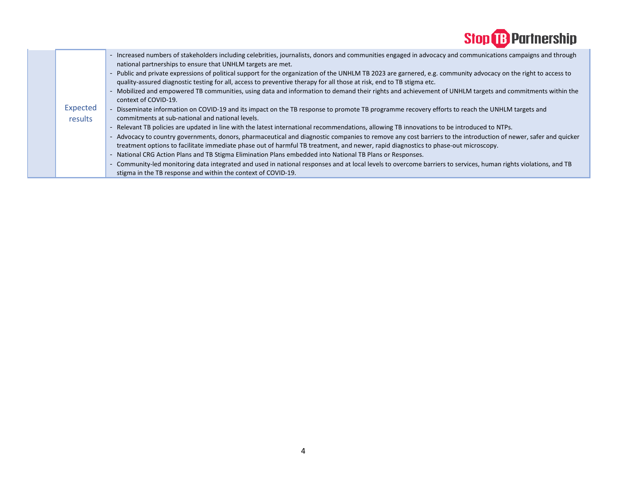

|  |          | - Increased numbers of stakeholders including celebrities, journalists, donors and communities engaged in advocacy and communications campaigns and through<br>national partnerships to ensure that UNHLM targets are met.                                                                           |
|--|----------|------------------------------------------------------------------------------------------------------------------------------------------------------------------------------------------------------------------------------------------------------------------------------------------------------|
|  |          | - Public and private expressions of political support for the organization of the UNHLM TB 2023 are garnered, e.g. community advocacy on the right to access to<br>quality-assured diagnostic testing for all, access to preventive therapy for all those at risk, end to TB stigma etc.             |
|  |          | - Mobilized and empowered TB communities, using data and information to demand their rights and achievement of UNHLM targets and commitments within the<br>context of COVID-19.                                                                                                                      |
|  | Expected | - Disseminate information on COVID-19 and its impact on the TB response to promote TB programme recovery efforts to reach the UNHLM targets and                                                                                                                                                      |
|  | results  | commitments at sub-national and national levels.                                                                                                                                                                                                                                                     |
|  |          | - Relevant TB policies are updated in line with the latest international recommendations, allowing TB innovations to be introduced to NTPs.                                                                                                                                                          |
|  |          | - Advocacy to country governments, donors, pharmaceutical and diagnostic companies to remove any cost barriers to the introduction of newer, safer and quicker<br>treatment options to facilitate immediate phase out of harmful TB treatment, and newer, rapid diagnostics to phase-out microscopy. |
|  |          | National CRG Action Plans and TB Stigma Elimination Plans embedded into National TB Plans or Responses.<br>$\overline{\phantom{a}}$                                                                                                                                                                  |
|  |          | - Community-led monitoring data integrated and used in national responses and at local levels to overcome barriers to services, human rights violations, and TB                                                                                                                                      |
|  |          | stigma in the TB response and within the context of COVID-19.                                                                                                                                                                                                                                        |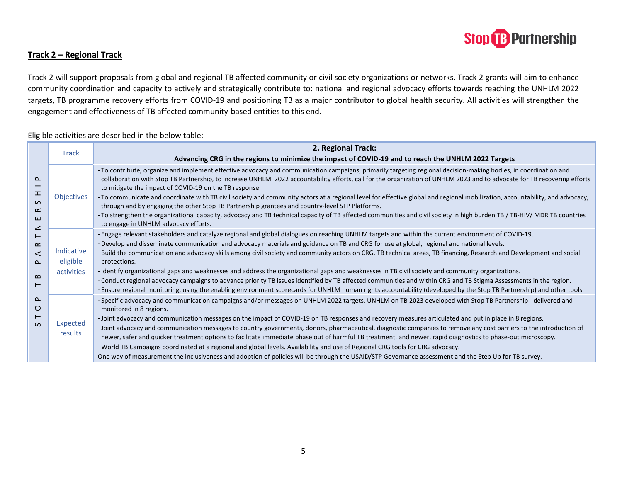

## **Track 2 – Regional Track**

Track 2 will support proposals from global and regional TB affected community or civil society organizations or networks. Track 2 grants will aim to enhance community coordination and capacity to actively and strategically contribute to: national and regional advocacy efforts towards reaching the UNHLM 2022 targets, TB programme recovery efforts from COVID-19 and positioning TB as a major contributor to global health security. All activities will strengthen the engagement and effectiveness of TB affected community-based entities to this end.

#### Eligible activities are described in the below table:

| ௳<br>H<br>$\sigma$<br>$\propto$<br>ш<br>$\mathbf{z}$<br>$\vdash$<br>$\propto$<br>$\triangleleft$<br>௨<br>$\boldsymbol{\underline{\omega}}$<br>⊢<br>$\sim$<br>O<br>⊢<br>$\Omega$ | <b>Track</b>                         | 2. Regional Track:<br>Advancing CRG in the regions to minimize the impact of COVID-19 and to reach the UNHLM 2022 Targets                                                                                                                                                                                                                                                                                                                                                                                                                                                                                                                                                                                                                                                                                                                                                                                                                                                                   |
|---------------------------------------------------------------------------------------------------------------------------------------------------------------------------------|--------------------------------------|---------------------------------------------------------------------------------------------------------------------------------------------------------------------------------------------------------------------------------------------------------------------------------------------------------------------------------------------------------------------------------------------------------------------------------------------------------------------------------------------------------------------------------------------------------------------------------------------------------------------------------------------------------------------------------------------------------------------------------------------------------------------------------------------------------------------------------------------------------------------------------------------------------------------------------------------------------------------------------------------|
|                                                                                                                                                                                 | <b>Objectives</b>                    | - To contribute, organize and implement effective advocacy and communication campaigns, primarily targeting regional decision-making bodies, in coordination and<br>collaboration with Stop TB Partnership, to increase UNHLM 2022 accountability efforts, call for the organization of UNHLM 2023 and to advocate for TB recovering efforts<br>to mitigate the impact of COVID-19 on the TB response.<br>- To communicate and coordinate with TB civil society and community actors at a regional level for effective global and regional mobilization, accountability, and advocacy,<br>through and by engaging the other Stop TB Partnership grantees and country-level STP Platforms.<br>- To strengthen the organizational capacity, advocacy and TB technical capacity of TB affected communities and civil society in high burden TB / TB-HIV/ MDR TB countries<br>to engage in UNHLM advocacy efforts.                                                                              |
|                                                                                                                                                                                 | Indicative<br>eligible<br>activities | - Engage relevant stakeholders and catalyze regional and global dialogues on reaching UNHLM targets and within the current environment of COVID-19.<br>-Develop and disseminate communication and advocacy materials and guidance on TB and CRG for use at global, regional and national levels.<br>- Build the communication and advocacy skills among civil society and community actors on CRG, TB technical areas, TB financing, Research and Development and social<br>protections.<br>- Identify organizational gaps and weaknesses and address the organizational gaps and weaknesses in TB civil society and community organizations.<br>- Conduct regional advocacy campaigns to advance priority TB issues identified by TB affected communities and within CRG and TB Stigma Assessments in the region.<br>- Ensure regional monitoring, using the enabling environment scorecards for UNHLM human rights accountability (developed by the Stop TB Partnership) and other tools. |
|                                                                                                                                                                                 | Expected<br>results                  | -Specific advocacy and communication campaigns and/or messages on UNHLM 2022 targets, UNHLM on TB 2023 developed with Stop TB Partnership - delivered and<br>monitored in 8 regions.<br>-Joint advocacy and communication messages on the impact of COVID-19 on TB responses and recovery measures articulated and put in place in 8 regions.<br>- Joint advocacy and communication messages to country governments, donors, pharmaceutical, diagnostic companies to remove any cost barriers to the introduction of<br>newer, safer and quicker treatment options to facilitate immediate phase out of harmful TB treatment, and newer, rapid diagnostics to phase-out microscopy.<br>- World TB Campaigns coordinated at a regional and global levels. Availability and use of Regional CRG tools for CRG advocacy.<br>One way of measurement the inclusiveness and adoption of policies will be through the USAID/STP Governance assessment and the Step Up for TB survey.               |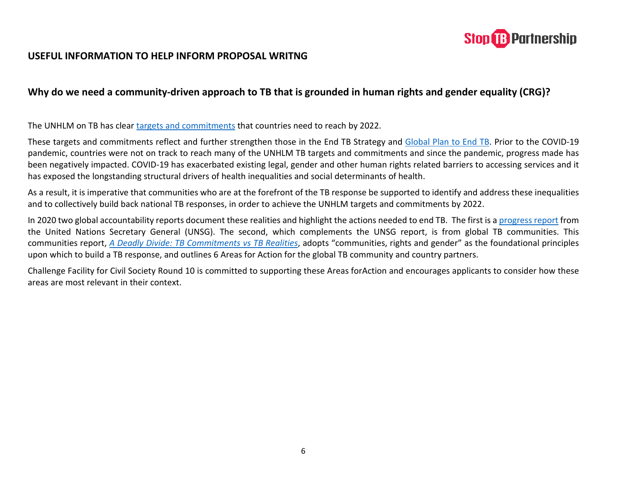

## **USEFUL INFORMATION TO HELP INFORM PROPOSAL WRITNG**

## **Why do we need a community-driven approach to TB that is grounded in human rights and gender equality (CRG)?**

The UNHLM on TB has clear [targets and commitments](http://www.stoptb.org/assets/documents/global/advocacy/unhlm/UNHLM_Targets&Commitments.pdf) that countries need to reach by 2022.

These targets and commitments reflect and further strengthen those in the End TB Strategy and [Global Plan to End TB.](http://www.stoptb.org/assets/documents/global/plan/GPR_2018-2022_Digital.pdf) Prior to the COVID-19 pandemic, countries were not on track to reach many of the UNHLM TB targets and commitments and since the pandemic, progress made has been negatively impacted. COVID-19 has exacerbated existing legal, gender and other human rights related barriers to accessing services and it has exposed the longstanding structural drivers of health inequalities and social determinants of health.

As a result, it is imperative that communities who are at the forefront of the TB response be supported to identify and address these inequalities and to collectively build back national TB responses, in order to achieve the UNHLM targets and commitments by 2022.

In 2020 two global accountability reports document these realities and highlight the actions needed to end TB. The first is [a progress report](https://www.who.int/news/item/21-10-2020-un-secretary-general-outlines-priority-recommendations-to-accelerate-the-tb-response-and-reach-targets) from the United Nations Secretary General (UNSG). The second, which complements the UNSG report, is from global TB communities. This communities report, *[A Deadly Divide: TB Commitments vs TB Realities](http://www.stoptb.org/assets/documents/communities/The%20Deadly%20Divide_TB%20Commitments%20vs%20TB%20Realities%20FINAL%20HLM%20Report.pdf)*, adopts "communities, rights and gender" as the foundational principles upon which to build a TB response, and outlines 6 Areas for Action for the global TB community and country partners.

Challenge Facility for Civil Society Round 10 is committed to supporting these Areas forAction and encourages applicants to consider how these areas are most relevant in their context.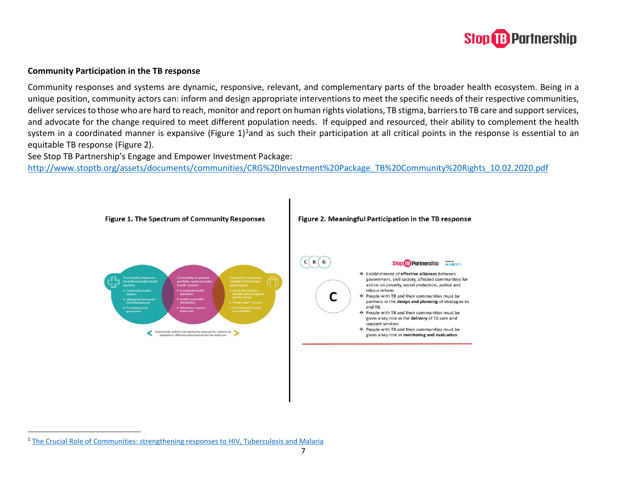<span id="page-6-0"></span>

## **Community Participation in the TB response**

Community responses and systems are dynamic, responsive, relevant, and complementary parts of the broader health ecosystem. Being in a unique position, community actors can: inform and design appropriate interventions to meet the specific needs of their respective communities, deliver services to those who are hard to reach, monitor and report on human rights violations, TB stigma, barriers to TB care and support services, and advocate for the change required to meet different population needs. If equipped and resourced, their ability to complement the health system in a coordinated manner is expansive (Figure 1)<sup>1</sup>and as such their participation at all critical points in the response is essential to an equitable TB response (Figure 2).

See Stop TB Partnership's Engage and Empower Investment Package:

[http://www.stoptb.org/assets/documents/communities/CRG%20Investment%20Package\\_TB%20Community%20Rights\\_10.02.2020.pdf](http://www.stoptb.org/assets/documents/communities/CRG%20Investment%20Package_TB%20Community%20Rights_10.02.2020.pdf)



<sup>1</sup> [The Crucial Role of Communities: strengthening responses to HIV, Tuberculosis and Malaria](https://www.theglobalfund.org/media/8464/publication_communityresponses_focuson_en.pdf?u=636937007490000000)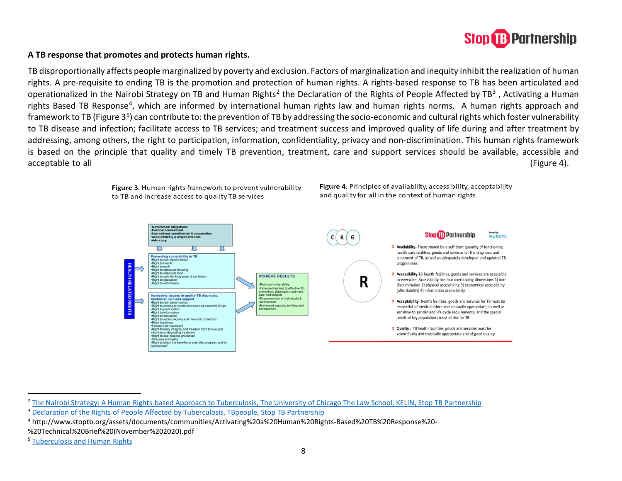#### <span id="page-7-3"></span><span id="page-7-2"></span><span id="page-7-1"></span><span id="page-7-0"></span>**B** Partnership **Stop**

## **A TB response that promotes and protects human rights.**

TB disproportionally affects people marginalized by poverty and exclusion. Factors of marginalization and inequity inhibit the realization of human rights. A pre-requisite to ending TB is the promotion and protection of human rights. A rights-based response to TB has been articulated and operationalized in the Nairobi Strategy on TB and Human Rights<sup>[2](#page-7-0)</sup> the Declaration of the Rights of People Affected by TB<sup>[3](#page-7-1)</sup>, Activating a Human rights Based TB Response[4](#page-7-2), which are informed by international human rights law and human rights norms. A human rights approach and framework to TB (Figure  $3<sup>5</sup>$  $3<sup>5</sup>$  $3<sup>5</sup>$ ) can contribute to: the prevention of TB by addressing the socio-economic and cultural rights which foster vulnerability to TB disease and infection; facilitate access to TB services; and treatment success and improved quality of life during and after treatment by addressing, among others, the right to participation, information, confidentiality, privacy and non-discrimination. This human rights framework is based on the principle that quality and timely TB prevention, treatment, care and support services should be available, accessible and acceptable to all (Figure 4).



<sup>&</sup>lt;sup>2</sup> [The Nairobi Strategy: A Human Rights-based Approach to Tuberculosis, The University of Chicago The Law School, KELIN, Stop TB Partnership](http://www.stoptb.org/assets/documents/communities/Nairobi_Strategy_WEB.PDF)

<sup>3</sup> [Declaration of the Rights of People Affected by Tuberculosis, TBpeople, Stop TB Partnership](http://www.stoptb.org/assets/documents/communities/FINAL%20Declaration%20on%20the%20Right%20of%20People%20Affected%20by%20TB%2013.05.2019.pdf)

<sup>4</sup> http://www.stoptb.org/assets/documents/communities/Activating%20a%20Human%20Rights-Based%20TB%20Response%20-

<sup>%20</sup>Technical%20Brief%20(November%202020).pdf

<sup>5</sup> [Tuberculosis and Human Rights](http://www.stoptb.org/assets/documents/global/hrtf/Briefing%20note%20on%20TB%20and%20Human%20Rights.pdf)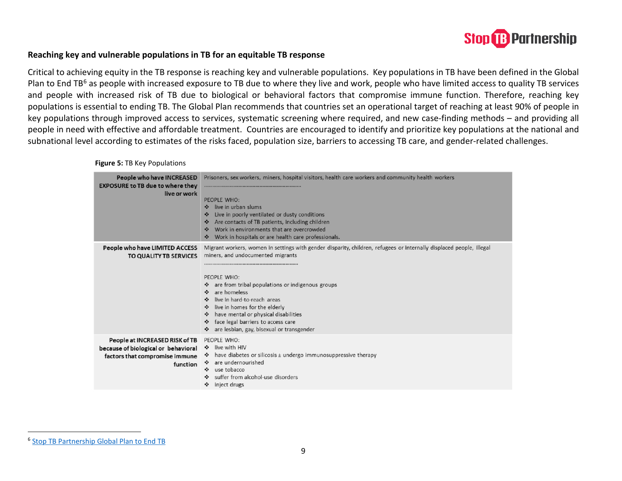<span id="page-8-0"></span>

## **Reaching key and vulnerable populations in TB for an equitable TB response**

Critical to achieving equity in the TB response is reaching key and vulnerable populations. Key populations in TB have been defined in the Global Plan to End TB<sup>6</sup> as people with increased exposure to TB due to where they live and work, people who have limited access to quality TB services and people with increased risk of TB due to biological or behavioral factors that compromise immune function. Therefore, reaching key populations is essential to ending TB. The Global Plan recommends that countries set an operational target of reaching at least 90% of people in key populations through improved access to services, systematic screening where required, and new case-finding methods – and providing all people in need with effective and affordable treatment. Countries are encouraged to identify and prioritize key populations at the national and subnational level according to estimates of the risks faced, population size, barriers to accessing TB care, and gender-related challenges.

 **Figure 5:** TB Key Populations

| <b>People who have INCREASED</b><br><b>EXPOSURE to TB due to where they</b><br>live or work                         | Prisoners, sex workers, miners, hospital visitors, health care workers and community health workers<br>PEOPLE WHO:<br>live in urban slums<br>$\sim$<br>Live in poorly ventilated or dusty conditions<br>$\bullet$<br>Are contacts of TB patients, including children<br>$\ddot{\cdot}$<br>Work in environments that are overcrowded<br>$\mathbf{e}_i$ .<br>Work in hospitals or are health care professionals.<br>$\ddot{\phantom{a}}$                                |
|---------------------------------------------------------------------------------------------------------------------|-----------------------------------------------------------------------------------------------------------------------------------------------------------------------------------------------------------------------------------------------------------------------------------------------------------------------------------------------------------------------------------------------------------------------------------------------------------------------|
| People who have LIMITED ACCESS<br>TO QUALITY TB SERVICES                                                            | Migrant workers, women in settings with gender disparity, children, refugees or internally displaced people, illegal<br>miners, and undocumented migrants<br>PEOPLE WHO:<br>❖ are from tribal populations or indigenous groups<br>are homeless<br>❖<br>live in hard-to-reach areas<br>$\bullet$<br>live in homes for the elderly<br>have mental or physical disabilities<br>$\sim$<br>face legal barriers to access care<br>are lesbian, gay, bisexual or transgender |
| People at INCREASED RISK of TB<br>because of biological or behavioral<br>factors that compromise immune<br>function | PEOPLE WHO:<br>↓ live with HIV<br>have diabetes or silicosis $\pm$ undergo immunosuppressive therapy<br>are undernourished<br>use tobacco<br>$\bullet$<br>suffer from alcohol-use disorders<br>❖<br>inject drugs                                                                                                                                                                                                                                                      |

<sup>6</sup> [Stop TB Partnership Global Plan to End TB](http://www.stoptb.org/assets/documents/global/plan/GlobalPlanToEndTB_TheParadigmShift_2016-2020_StopTBPartnership.pdf)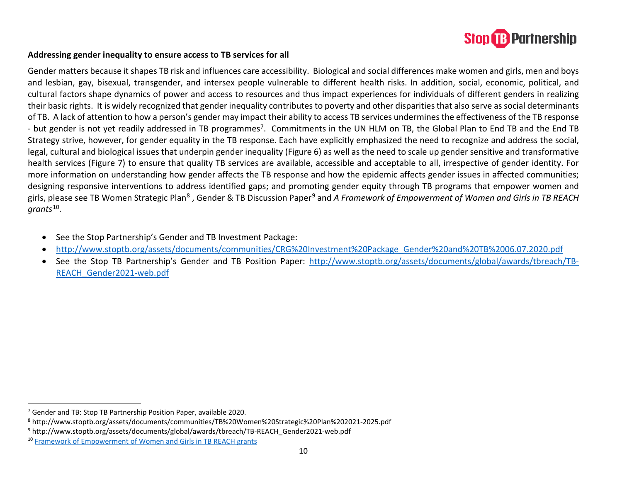<span id="page-9-3"></span><span id="page-9-2"></span><span id="page-9-1"></span><span id="page-9-0"></span>

## **Addressing gender inequality to ensure access to TB services for all**

Gender matters because it shapes TB risk and influences care accessibility. Biological and social differences make women and girls, men and boys and lesbian, gay, bisexual, transgender, and intersex people vulnerable to different health risks. In addition, social, economic, political, and cultural factors shape dynamics of power and access to resources and thus impact experiences for individuals of different genders in realizing their basic rights. It is widely recognized that gender inequality contributes to poverty and other disparities that also serve as social determinants of TB. A lack of attention to how a person's gender may impact their ability to access TB services undermines the effectiveness of the TB response - but gender is not yet readily addressed in TB programmes<sup>7</sup>. Commitments in the UN HLM on TB, the Global Plan to End TB and the End TB Strategy strive, however, for gender equality in the TB response. Each have explicitly emphasized the need to recognize and address the social, legal, cultural and biological issues that underpin gender inequality (Figure 6) as well as the need to scale up gender sensitive and transformative health services (Figure 7) to ensure that quality TB services are available, accessible and acceptable to all, irrespective of gender identity. For more information on understanding how gender affects the TB response and how the epidemic affects gender issues in affected communities; designing responsive interventions to address identified gaps; and promoting gender equity through TB programs that empower women and girls, please see TB Women Strategic Plan<sup>[8](#page-9-1)</sup>, Gender & TB Discussion Paper<sup>[9](#page-9-2)</sup> and A Framework of Empowerment of Women and Girls in TB REACH *grants*[10](#page-9-3).

- See the Stop Partnership's Gender and TB Investment Package:
- [http://www.stoptb.org/assets/documents/communities/CRG%20Investment%20Package\\_Gender%20and%20TB%2006.07.2020.pdf](http://www.stoptb.org/assets/documents/communities/CRG%20Investment%20Package_Gender%20and%20TB%2006.07.2020.pdf)
- See the Stop TB Partnership's Gender and TB Position Paper: [http://www.stoptb.org/assets/documents/global/awards/tbreach/TB-](http://www.stoptb.org/assets/documents/global/awards/tbreach/TB-REACH_Gender2021-web.pdf)[REACH\\_Gender2021-web.pdf](http://www.stoptb.org/assets/documents/global/awards/tbreach/TB-REACH_Gender2021-web.pdf)

<sup>&</sup>lt;sup>7</sup> Gender and TB: Stop TB Partnership Position Paper, available 2020.<br><sup>8</sup> http://www.stoptb.org/assets/documents/communities/TB%20Women%20Strategic%20Plan%202021-2025.pdf

<sup>9</sup> http://www.stoptb.org/assets/documents/global/awards/tbreach/TB-REACH\_Gender2021-web.pdf

<sup>10</sup> [Framework of Empowerment of Women and Girls in TB REACH grants](http://www.stoptb.org/assets/documents/global/awards/tbreach/W7_WEmpowerment_TBREACHGrants.pdf)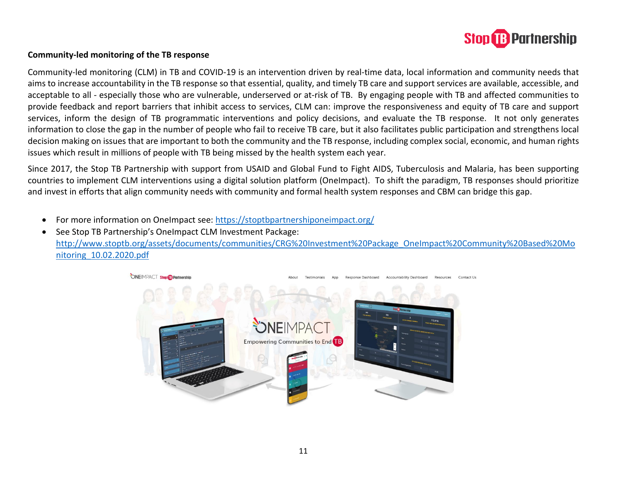

## **Community-led monitoring of the TB response**

Community-led monitoring (CLM) in TB and COVID-19 is an intervention driven by real-time data, local information and community needs that aims to increase accountability in the TB response so that essential, quality, and timely TB care and support services are available, accessible, and acceptable to all - especially those who are vulnerable, underserved or at-risk of TB. By engaging people with TB and affected communities to provide feedback and report barriers that inhibit access to services, CLM can: improve the responsiveness and equity of TB care and support services, inform the design of TB programmatic interventions and policy decisions, and evaluate the TB response. It not only generates information to close the gap in the number of people who fail to receive TB care, but it also facilitates public participation and strengthens local decision making on issues that are important to both the community and the TB response, including complex social, economic, and human rights issues which result in millions of people with TB being missed by the health system each year.

Since 2017, the Stop TB Partnership with support from USAID and Global Fund to Fight AIDS, Tuberculosis and Malaria, has been supporting countries to implement CLM interventions using a digital solution platform (OneImpact). To shift the paradigm, TB responses should prioritize and invest in efforts that align community needs with community and formal health system responses and CBM can bridge this gap.

• For more information on OneImpact see:<https://stoptbpartnershiponeimpact.org/>

• See Stop TB Partnership's OneImpact CLM Investment Package: [http://www.stoptb.org/assets/documents/communities/CRG%20Investment%20Package\\_OneImpact%20Community%20Based%20Mo](http://www.stoptb.org/assets/documents/communities/CRG%20Investment%20Package_OneImpact%20Community%20Based%20Monitoring_10.02.2020.pdf) [nitoring\\_10.02.2020.pdf](http://www.stoptb.org/assets/documents/communities/CRG%20Investment%20Package_OneImpact%20Community%20Based%20Monitoring_10.02.2020.pdf)